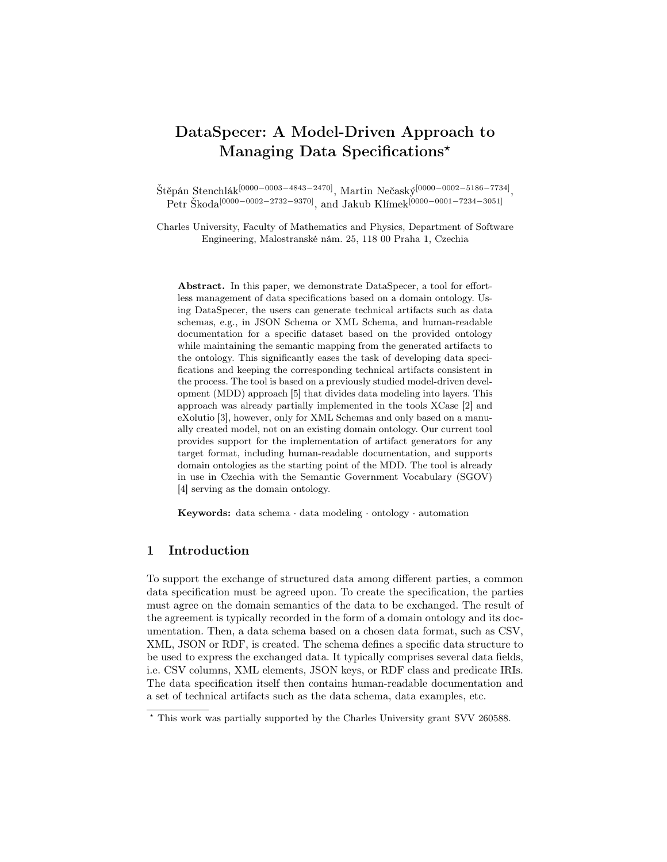# DataSpecer: A Model-Driven Approach to Managing Data Specifications<sup>\*</sup>

 $\rm \check{St}$ ěpán Stenchlák $^{[0000-0003-4843-2470]}, \rm \, Martin \, Ne\check{c}aský^{[0000-0002-5186-7734]},$ Petr Škoda<sup>[0000–0002–2732–9370]</sup>, and Jakub Klímek<sup>[0000–0001–7234–3051]</sup>

Charles University, Faculty of Mathematics and Physics, Department of Software Engineering, Malostranské nám. 25, 118 00 Praha 1, Czechia

Abstract. In this paper, we demonstrate DataSpecer, a tool for effortless management of data specifications based on a domain ontology. Using DataSpecer, the users can generate technical artifacts such as data schemas, e.g., in JSON Schema or XML Schema, and human-readable documentation for a specific dataset based on the provided ontology while maintaining the semantic mapping from the generated artifacts to the ontology. This significantly eases the task of developing data specifications and keeping the corresponding technical artifacts consistent in the process. The tool is based on a previously studied model-driven development (MDD) approach [\[5\]](#page-4-0) that divides data modeling into layers. This approach was already partially implemented in the tools XCase [\[2\]](#page-4-1) and eXolutio [\[3\]](#page-4-2), however, only for XML Schemas and only based on a manually created model, not on an existing domain ontology. Our current tool provides support for the implementation of artifact generators for any target format, including human-readable documentation, and supports domain ontologies as the starting point of the MDD. The tool is already in use in Czechia with the Semantic Government Vocabulary (SGOV) [\[4\]](#page-4-3) serving as the domain ontology.

Keywords: data schema · data modeling · ontology · automation

## 1 Introduction

To support the exchange of structured data among different parties, a common data specification must be agreed upon. To create the specification, the parties must agree on the domain semantics of the data to be exchanged. The result of the agreement is typically recorded in the form of a domain ontology and its documentation. Then, a data schema based on a chosen data format, such as CSV, XML, JSON or RDF, is created. The schema defines a specific data structure to be used to express the exchanged data. It typically comprises several data fields, i.e. CSV columns, XML elements, JSON keys, or RDF class and predicate IRIs. The data specification itself then contains human-readable documentation and a set of technical artifacts such as the data schema, data examples, etc.

<sup>⋆</sup> This work was partially supported by the Charles University grant SVV 260588.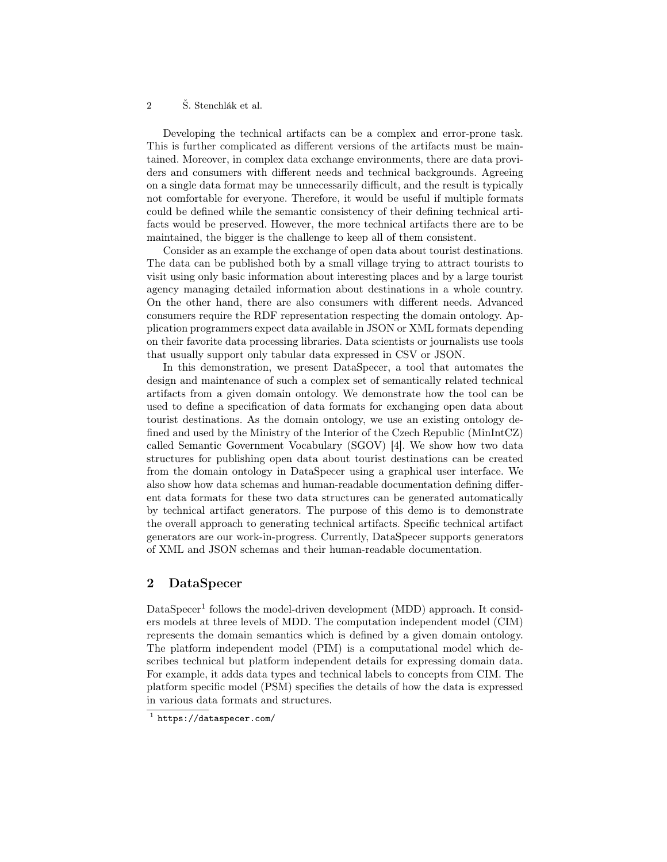#### 2 Š. Stenchlák et al.

Developing the technical artifacts can be a complex and error-prone task. This is further complicated as different versions of the artifacts must be maintained. Moreover, in complex data exchange environments, there are data providers and consumers with different needs and technical backgrounds. Agreeing on a single data format may be unnecessarily difficult, and the result is typically not comfortable for everyone. Therefore, it would be useful if multiple formats could be defined while the semantic consistency of their defining technical artifacts would be preserved. However, the more technical artifacts there are to be maintained, the bigger is the challenge to keep all of them consistent.

Consider as an example the exchange of open data about tourist destinations. The data can be published both by a small village trying to attract tourists to visit using only basic information about interesting places and by a large tourist agency managing detailed information about destinations in a whole country. On the other hand, there are also consumers with different needs. Advanced consumers require the RDF representation respecting the domain ontology. Application programmers expect data available in JSON or XML formats depending on their favorite data processing libraries. Data scientists or journalists use tools that usually support only tabular data expressed in CSV or JSON.

In this demonstration, we present DataSpecer, a tool that automates the design and maintenance of such a complex set of semantically related technical artifacts from a given domain ontology. We demonstrate how the tool can be used to define a specification of data formats for exchanging open data about tourist destinations. As the domain ontology, we use an existing ontology defined and used by the Ministry of the Interior of the Czech Republic (MinIntCZ) called Semantic Government Vocabulary (SGOV) [\[4\]](#page-4-3). We show how two data structures for publishing open data about tourist destinations can be created from the domain ontology in DataSpecer using a graphical user interface. We also show how data schemas and human-readable documentation defining different data formats for these two data structures can be generated automatically by technical artifact generators. The purpose of this demo is to demonstrate the overall approach to generating technical artifacts. Specific technical artifact generators are our work-in-progress. Currently, DataSpecer supports generators of XML and JSON schemas and their human-readable documentation.

## 2 DataSpecer

DataSpecer<sup>[1](#page-1-0)</sup> follows the model-driven development (MDD) approach. It considers models at three levels of MDD. The computation independent model (CIM) represents the domain semantics which is defined by a given domain ontology. The platform independent model (PIM) is a computational model which describes technical but platform independent details for expressing domain data. For example, it adds data types and technical labels to concepts from CIM. The platform specific model (PSM) specifies the details of how the data is expressed in various data formats and structures.

<span id="page-1-0"></span><sup>1</sup> <https://dataspecer.com/>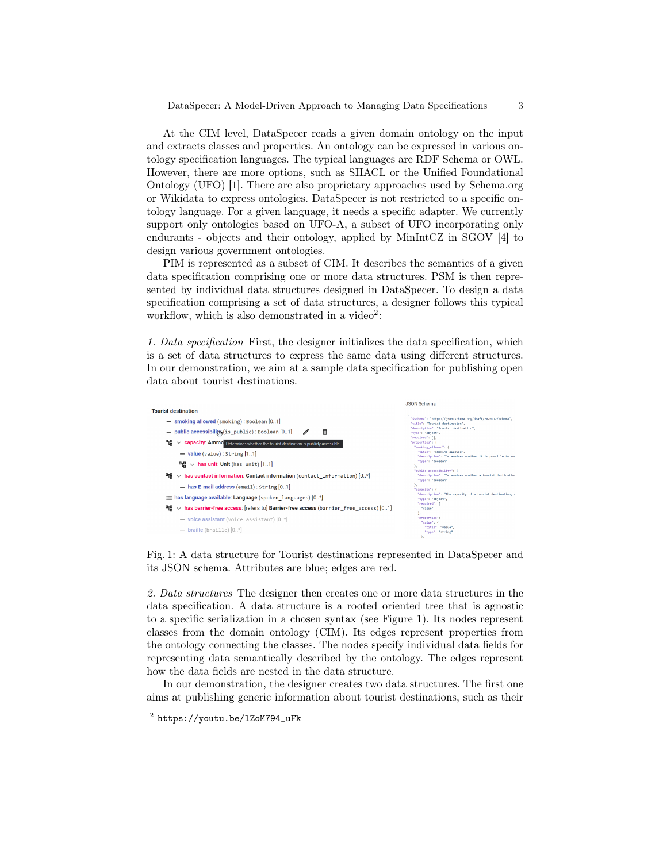At the CIM level, DataSpecer reads a given domain ontology on the input and extracts classes and properties. An ontology can be expressed in various ontology specification languages. The typical languages are RDF Schema or OWL. However, there are more options, such as SHACL or the Unified Foundational Ontology (UFO) [\[1\]](#page-4-4). There are also proprietary approaches used by Schema.org or Wikidata to express ontologies. DataSpecer is not restricted to a specific ontology language. For a given language, it needs a specific adapter. We currently support only ontologies based on UFO-A, a subset of UFO incorporating only endurants - objects and their ontology, applied by MinIntCZ in SGOV [\[4\]](#page-4-3) to design various government ontologies.

PIM is represented as a subset of CIM. It describes the semantics of a given data specification comprising one or more data structures. PSM is then represented by individual data structures designed in DataSpecer. To design a data specification comprising a set of data structures, a designer follows this typical workflow, which is also demonstrated in a video<sup>[2](#page-2-0)</sup>:

1. Data specification First, the designer initializes the data specification, which is a set of data structures to express the same data using different structures. In our demonstration, we aim at a sample data specification for publishing open data about tourist destinations.

<span id="page-2-1"></span>

Fig. 1: A data structure for Tourist destinations represented in DataSpecer and its JSON schema. Attributes are blue; edges are red.

2. Data structures The designer then creates one or more data structures in the data specification. A data structure is a rooted oriented tree that is agnostic to a specific serialization in a chosen syntax (see [Figure 1\)](#page-2-1). Its nodes represent classes from the domain ontology (CIM). Its edges represent properties from the ontology connecting the classes. The nodes specify individual data fields for representing data semantically described by the ontology. The edges represent how the data fields are nested in the data structure.

In our demonstration, the designer creates two data structures. The first one aims at publishing generic information about tourist destinations, such as their

<span id="page-2-0"></span> $^2$  https://youtu.be/1ZoM794\_uFk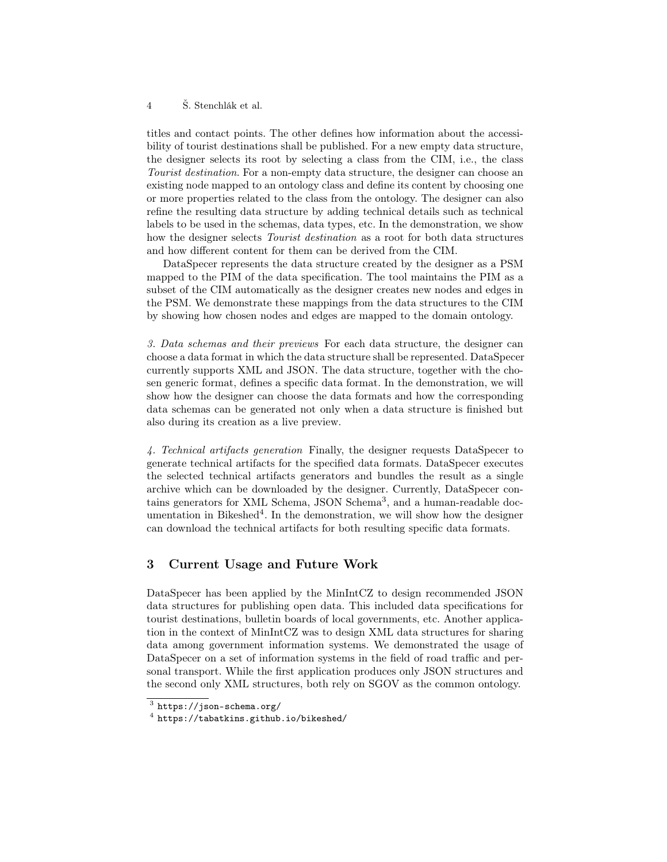#### 4 Š. Stenchlák et al.

titles and contact points. The other defines how information about the accessibility of tourist destinations shall be published. For a new empty data structure, the designer selects its root by selecting a class from the CIM, i.e., the class Tourist destination. For a non-empty data structure, the designer can choose an existing node mapped to an ontology class and define its content by choosing one or more properties related to the class from the ontology. The designer can also refine the resulting data structure by adding technical details such as technical labels to be used in the schemas, data types, etc. In the demonstration, we show how the designer selects *Tourist destination* as a root for both data structures and how different content for them can be derived from the CIM.

DataSpecer represents the data structure created by the designer as a PSM mapped to the PIM of the data specification. The tool maintains the PIM as a subset of the CIM automatically as the designer creates new nodes and edges in the PSM. We demonstrate these mappings from the data structures to the CIM by showing how chosen nodes and edges are mapped to the domain ontology.

3. Data schemas and their previews For each data structure, the designer can choose a data format in which the data structure shall be represented. DataSpecer currently supports XML and JSON. The data structure, together with the chosen generic format, defines a specific data format. In the demonstration, we will show how the designer can choose the data formats and how the corresponding data schemas can be generated not only when a data structure is finished but also during its creation as a live preview.

4. Technical artifacts generation Finally, the designer requests DataSpecer to generate technical artifacts for the specified data formats. DataSpecer executes the selected technical artifacts generators and bundles the result as a single archive which can be downloaded by the designer. Currently, DataSpecer con-tains generators for XML Schema, JSON Schema<sup>[3](#page-3-0)</sup>, and a human-readable doc-umentation in Bikeshed<sup>[4](#page-3-1)</sup>. In the demonstration, we will show how the designer can download the technical artifacts for both resulting specific data formats.

### 3 Current Usage and Future Work

DataSpecer has been applied by the MinIntCZ to design recommended JSON data structures for publishing open data. This included data specifications for tourist destinations, bulletin boards of local governments, etc. Another application in the context of MinIntCZ was to design XML data structures for sharing data among government information systems. We demonstrated the usage of DataSpecer on a set of information systems in the field of road traffic and personal transport. While the first application produces only JSON structures and the second only XML structures, both rely on SGOV as the common ontology.

<span id="page-3-0"></span> $^3$  <https://json-schema.org/>

<span id="page-3-1"></span> $^4$  <https://tabatkins.github.io/bikeshed/>